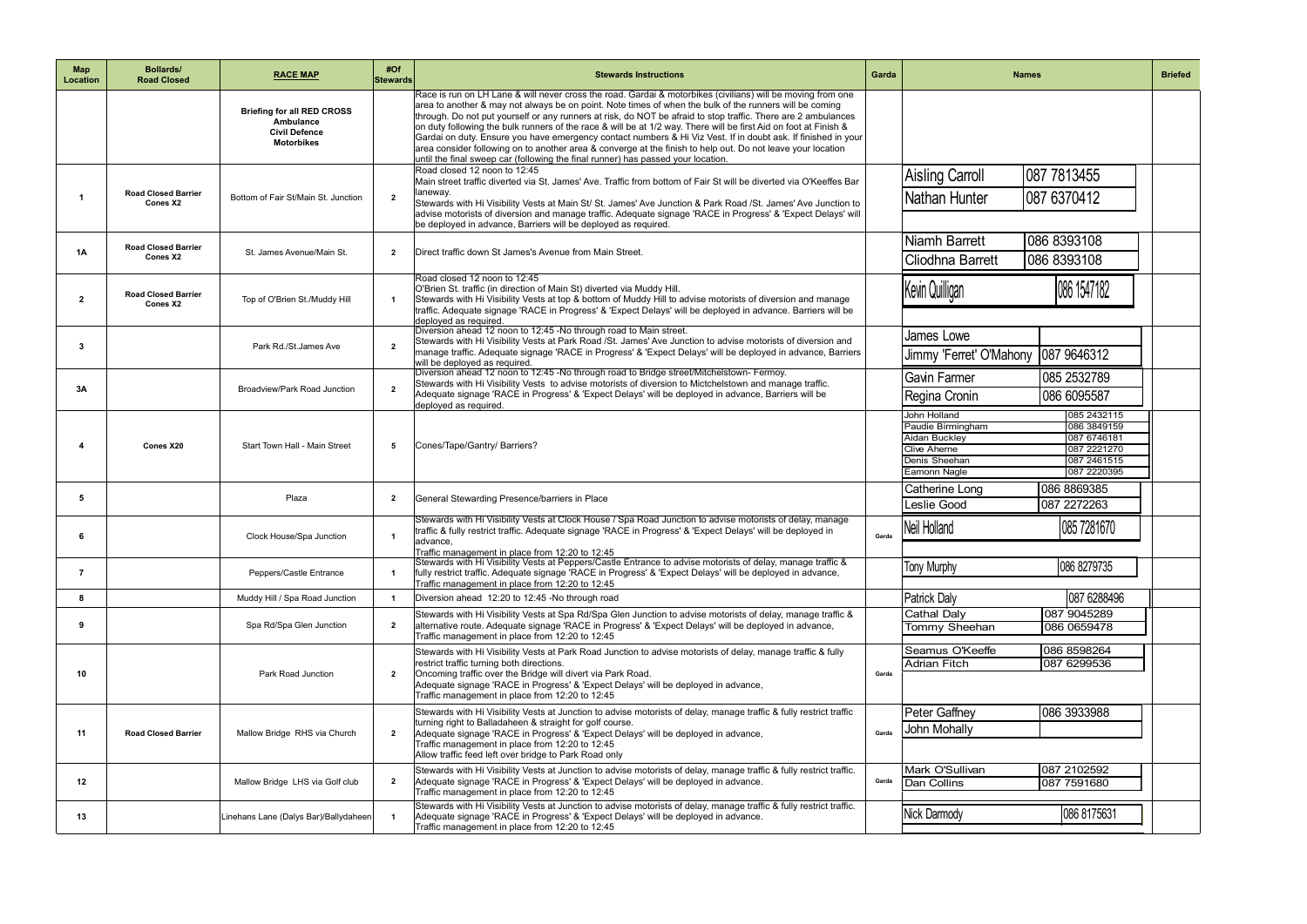| <b>Map</b><br>Location | <b>Bollards/</b><br><b>Road Closed</b> | <b>RACE MAP</b>                                                                             | #Of<br>Stewards | <b>Stewards Instructions</b>                                                                                                                                                                                                                                                                                                                                                                                                                                                                                                                                                                                                                                                                                                                                                    | Garda | <b>Briefed</b><br><b>Names</b>                                                                                                                                                                       |  |
|------------------------|----------------------------------------|---------------------------------------------------------------------------------------------|-----------------|---------------------------------------------------------------------------------------------------------------------------------------------------------------------------------------------------------------------------------------------------------------------------------------------------------------------------------------------------------------------------------------------------------------------------------------------------------------------------------------------------------------------------------------------------------------------------------------------------------------------------------------------------------------------------------------------------------------------------------------------------------------------------------|-------|------------------------------------------------------------------------------------------------------------------------------------------------------------------------------------------------------|--|
|                        |                                        | <b>Briefing for all RED CROSS</b><br>Ambulance<br><b>Civil Defence</b><br><b>Motorbikes</b> |                 | Race is run on LH Lane & will never cross the road. Gardai & motorbikes (civilians) will be moving from one<br>area to another & may not always be on point. Note times of when the bulk of the runners will be coming<br>through. Do not put yourself or any runners at risk, do NOT be afraid to stop traffic. There are 2 ambulances<br>on duty following the bulk runners of the race & will be at 1/2 way. There will be first Aid on foot at Finish &<br>Gardai on duty. Ensure you have emergency contact numbers & Hi Viz Vest. If in doubt ask. If finished in your<br>area consider following on to another area & converge at the finish to help out. Do not leave your location<br>until the final sweep car (following the final runner) has passed your location. |       |                                                                                                                                                                                                      |  |
|                        | <b>Road Closed Barrier</b><br>Cones X2 | Bottom of Fair St/Main St. Junction                                                         | $\overline{2}$  | Road closed 12 noon to 12:45<br>Main street traffic diverted via St. James' Ave. Traffic from bottom of Fair St will be diverted via O'Keeffes Bar<br>laneway.<br>Stewards with Hi Visibility Vests at Main St/ St. James' Ave Junction & Park Road /St. James' Ave Junction to<br>advise motorists of diversion and manage traffic. Adequate signage 'RACE in Progress' & 'Expect Delays' will<br>be deployed in advance, Barriers will be deployed as required.                                                                                                                                                                                                                                                                                                               |       | 087 7813455<br><b>Aisling Carroll</b><br>087 6370412<br>Nathan Hunter                                                                                                                                |  |
| <b>1A</b>              | <b>Road Closed Barrier</b><br>Cones X2 | St. James Avenue/Main St.                                                                   | $\overline{2}$  | Direct traffic down St James's Avenue from Main Street.                                                                                                                                                                                                                                                                                                                                                                                                                                                                                                                                                                                                                                                                                                                         |       | 086 8393108<br>Niamh Barrett<br>086 8393108<br>Cliodhna Barrett                                                                                                                                      |  |
| $\mathbf{2}$           | <b>Road Closed Barrier</b><br>Cones X2 | Top of O'Brien St./Muddy Hill                                                               | $\mathbf{1}$    | Road closed 12 noon to 12:45<br>O'Brien St. traffic (in direction of Main St) diverted via Muddy Hill.<br>Stewards with Hi Visibility Vests at top & bottom of Muddy Hill to advise motorists of diversion and manage<br>traffic. Adequate signage 'RACE in Progress' & 'Expect Delays' will be deployed in advance. Barriers will be<br>deployed as required.                                                                                                                                                                                                                                                                                                                                                                                                                  |       | 086 1547182<br>Kevin Quilligan                                                                                                                                                                       |  |
| 3                      |                                        | Park Rd./St.James Ave                                                                       | $\overline{2}$  | Diversion ahead 12 noon to 12:45 -No through road to Main street.<br>Stewards with Hi Visibility Vests at Park Road /St. James' Ave Junction to advise motorists of diversion and<br>manage traffic. Adequate signage 'RACE in Progress' & 'Expect Delays' will be deployed in advance, Barriers<br>will be deployed as required.                                                                                                                                                                                                                                                                                                                                                                                                                                               |       | James Lowe<br>Jimmy 'Ferret' O'Mahony<br>087 9646312                                                                                                                                                 |  |
| 3A                     |                                        | Broadview/Park Road Junction                                                                | $\overline{2}$  | Diversion ahead 12 noon to 12:45 -No through road to Bridge street/Mitchelstown- Fermoy.<br>Stewards with Hi Visibility Vests to advise motorists of diversion to Mictchelstown and manage traffic.<br>Adequate signage 'RACE in Progress' & 'Expect Delays' will be deployed in advance, Barriers will be<br>deployed as required.                                                                                                                                                                                                                                                                                                                                                                                                                                             |       | 085 2532789<br><b>Gavin Farmer</b><br>086 6095587<br>Regina Cronin                                                                                                                                   |  |
|                        | Cones X20                              | Start Town Hall - Main Street                                                               | 5               | Cones/Tape/Gantry/ Barriers?                                                                                                                                                                                                                                                                                                                                                                                                                                                                                                                                                                                                                                                                                                                                                    |       | John Holland<br>085 2432115<br>086 3849159<br>Paudie Birmingham<br>087 6746181<br>Aidan Buckley<br>087 2221270<br><b>Clive Aherne</b><br>087 2461515<br>Denis Sheehan<br>087 2220395<br>Eamonn Nagle |  |
| 5                      |                                        | Plaza                                                                                       | $\overline{2}$  | General Stewarding Presence/barriers in Place                                                                                                                                                                                                                                                                                                                                                                                                                                                                                                                                                                                                                                                                                                                                   |       | 086 8869385<br><b>Catherine Long</b><br>087 2272263<br><b>Leslie Good</b>                                                                                                                            |  |
| 6                      |                                        | Clock House/Spa Junction                                                                    |                 | Stewards with Hi Visibility Vests at Clock House / Spa Road Junction to advise motorists of delay, manage<br>traffic & fully restrict traffic. Adequate signage 'RACE in Progress' & 'Expect Delays' will be deployed in<br>advance,<br>Traffic management in place from 12:20 to 12:45                                                                                                                                                                                                                                                                                                                                                                                                                                                                                         | Garda | 085 7281670<br>Neil Holland                                                                                                                                                                          |  |
| -7                     |                                        | Peppers/Castle Entrance                                                                     | $\mathbf{1}$    | Stewards with Hi Visibility Vests at Peppers/Castle Entrance to advise motorists of delay, manage traffic &<br>fully restrict traffic. Adequate signage 'RACE in Progress' & 'Expect Delays' will be deployed in advance,<br>Traffic management in place from 12:20 to 12:45                                                                                                                                                                                                                                                                                                                                                                                                                                                                                                    |       | 086 8279735<br><b>Tony Murphy</b>                                                                                                                                                                    |  |
| 8                      |                                        | Muddy Hill / Spa Road Junction                                                              | $\mathbf{1}$    | Diversion ahead 12:20 to 12:45 -No through road                                                                                                                                                                                                                                                                                                                                                                                                                                                                                                                                                                                                                                                                                                                                 |       | 087 6288496<br><b>Patrick Daly</b>                                                                                                                                                                   |  |
| 9                      |                                        | Spa Rd/Spa Glen Junction                                                                    | $\overline{2}$  | Stewards with Hi Visibility Vests at Spa Rd/Spa Glen Junction to advise motorists of delay, manage traffic &<br>alternative route. Adequate signage 'RACE in Progress' & 'Expect Delays' will be deployed in advance,<br>Traffic management in place from 12:20 to 12:45                                                                                                                                                                                                                                                                                                                                                                                                                                                                                                        |       | Cathal Daly<br>087 9045289<br>086 0659478<br>Tommy Sheehan                                                                                                                                           |  |
| 10                     |                                        | Park Road Junction                                                                          | $\overline{2}$  | Stewards with Hi Visibility Vests at Park Road Junction to advise motorists of delay, manage traffic & fully<br>restrict traffic turning both directions.<br>Oncoming traffic over the Bridge will divert via Park Road.<br>Adequate signage 'RACE in Progress' & 'Expect Delays' will be deployed in advance,<br>Traffic management in place from 12:20 to 12:45                                                                                                                                                                                                                                                                                                                                                                                                               | Garda | Seamus O'Keeffe<br>086 8598264<br><b>Adrian Fitch</b><br>087 6299536                                                                                                                                 |  |
| 11                     | <b>Road Closed Barrier</b>             | Mallow Bridge RHS via Church                                                                | $\overline{2}$  | Stewards with Hi Visibility Vests at Junction to advise motorists of delay, manage traffic & fully restrict traffic<br>turning right to Balladaheen & straight for golf course.<br>Adequate signage 'RACE in Progress' & 'Expect Delays' will be deployed in advance,<br>Traffic management in place from 12:20 to 12:45<br>Allow traffic feed left over bridge to Park Road only                                                                                                                                                                                                                                                                                                                                                                                               | Garda | <b>Peter Gaffney</b><br>086 3933988<br>John Mohally                                                                                                                                                  |  |
| 12                     |                                        | Mallow Bridge LHS via Golf club                                                             | $\overline{2}$  | Stewards with Hi Visibility Vests at Junction to advise motorists of delay, manage traffic & fully restrict traffic.<br>Adequate signage 'RACE in Progress' & 'Expect Delays' will be deployed in advance.<br>Traffic management in place from 12:20 to 12:45                                                                                                                                                                                                                                                                                                                                                                                                                                                                                                                   | Garda | Mark O'Sullivan<br>087 2102592<br>Dan Collins<br>087 7591680                                                                                                                                         |  |
| 13                     |                                        | Linehans Lane (Dalys Bar)/Ballydaheen                                                       | $\mathbf{1}$    | Stewards with Hi Visibility Vests at Junction to advise motorists of delay, manage traffic & fully restrict traffic.<br>Adequate signage 'RACE in Progress' & 'Expect Delays' will be deployed in advance.<br>Traffic management in place from 12:20 to 12:45                                                                                                                                                                                                                                                                                                                                                                                                                                                                                                                   |       | Nick Darmody<br>086 8175631                                                                                                                                                                          |  |
|                        |                                        |                                                                                             |                 |                                                                                                                                                                                                                                                                                                                                                                                                                                                                                                                                                                                                                                                                                                                                                                                 |       | Adrian Ryder<br>085 7129082                                                                                                                                                                          |  |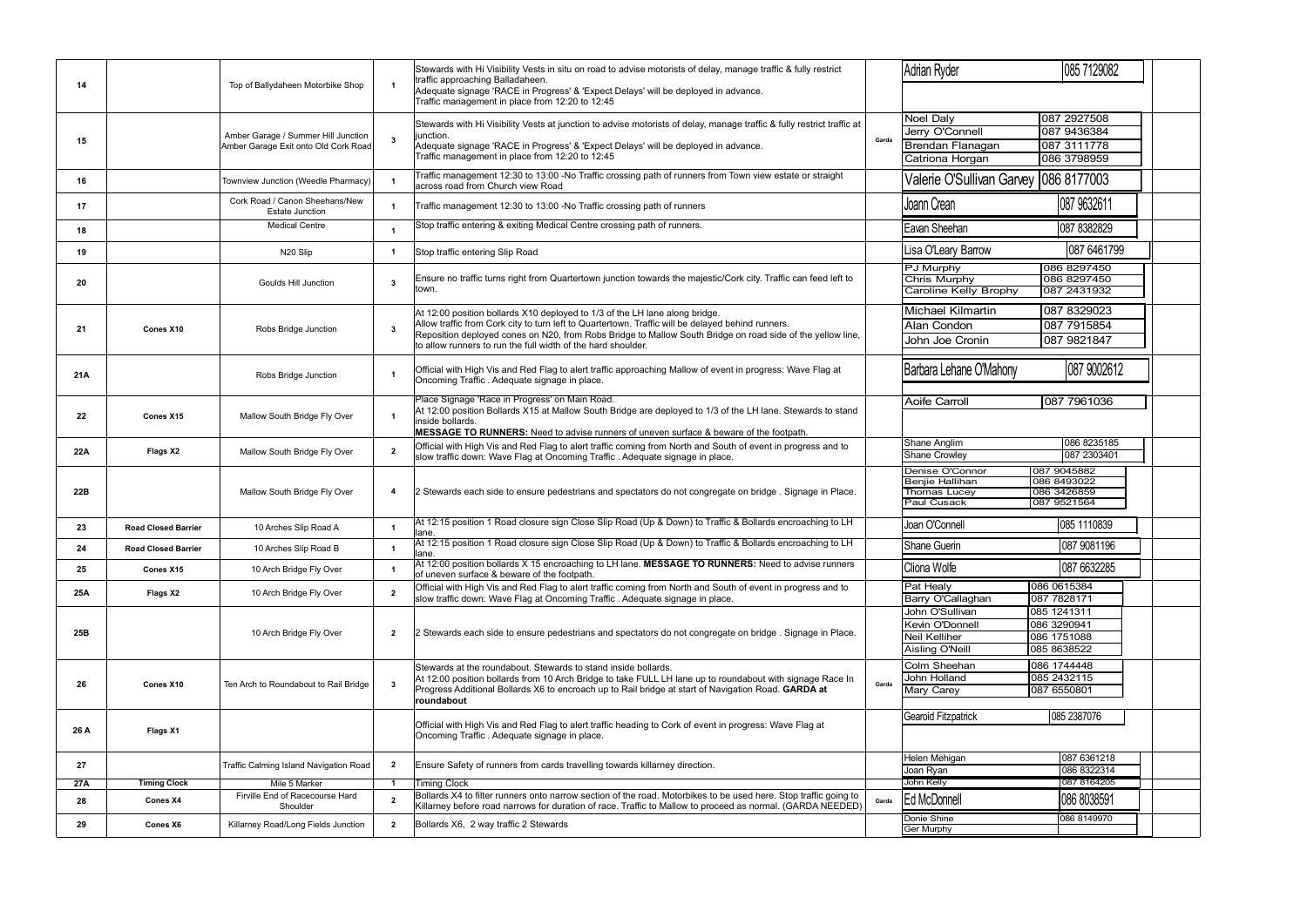| Adrian Ryder                            | 085 7129082                |  |  |  |  |  |  |
|-----------------------------------------|----------------------------|--|--|--|--|--|--|
|                                         |                            |  |  |  |  |  |  |
| Noel Daly                               | 087 2927508                |  |  |  |  |  |  |
| Jerry O'Connell                         | 087 9436384                |  |  |  |  |  |  |
|                                         |                            |  |  |  |  |  |  |
| Brendan Flanagan                        | 087 311 1778               |  |  |  |  |  |  |
| Catriona Horgan                         | 086 3798959                |  |  |  |  |  |  |
| Valerie O'Sullivan Garvey   086 8177003 |                            |  |  |  |  |  |  |
| Joann Crean                             | 087 9632611                |  |  |  |  |  |  |
| Eavan Sheehan                           | 087 8382829                |  |  |  |  |  |  |
| Lisa O'Leary Barrow                     | 087 6461799                |  |  |  |  |  |  |
| PJ Murphy                               | 086 8297450                |  |  |  |  |  |  |
| <b>Chris Murphy</b>                     | 086 8297450                |  |  |  |  |  |  |
| Caroline Kelly Brophy                   | 087 2431932                |  |  |  |  |  |  |
|                                         |                            |  |  |  |  |  |  |
| <b>Michael Kilmartin</b>                | 087 8329023                |  |  |  |  |  |  |
| Alan Condon                             | 087 7915854                |  |  |  |  |  |  |
| John Joe Cronin                         | 087 9821847                |  |  |  |  |  |  |
| Barbara Lehane O'Mahony                 | 087 9002612                |  |  |  |  |  |  |
| <b>Aoife Carroll</b>                    | 087 7961036                |  |  |  |  |  |  |
|                                         |                            |  |  |  |  |  |  |
| Shane Anglim                            | 086 8235185                |  |  |  |  |  |  |
| Shane Crowley                           | 087 2303401                |  |  |  |  |  |  |
|                                         |                            |  |  |  |  |  |  |
| Denise O'Connor<br>Benjie Hallihan      | 087 9045882<br>086 8493022 |  |  |  |  |  |  |
| Thomas Lucey                            | 086 3426859                |  |  |  |  |  |  |
| Paul Cusack                             | 087 9521564                |  |  |  |  |  |  |
|                                         |                            |  |  |  |  |  |  |
| Joan O'Connell                          | 085 1110839                |  |  |  |  |  |  |
| Shane Guerin                            | 087 9081196                |  |  |  |  |  |  |
| Cliona Wolfe                            | 087 6632285                |  |  |  |  |  |  |
| Pat Healy                               | 086 0615384                |  |  |  |  |  |  |
| Barry O'Callaghan                       | 087 7828171                |  |  |  |  |  |  |
| John O'Sullivan                         | 085 1241311                |  |  |  |  |  |  |
| Kevin O'Donnell                         | 086 3290941                |  |  |  |  |  |  |
| Neil Kelliher                           | 086 1751088                |  |  |  |  |  |  |
| <b>Aisling O'Neill</b>                  | 085 8638522                |  |  |  |  |  |  |
| Colm Sheehan                            | 086 1744448                |  |  |  |  |  |  |
| John Holland                            | 085 2432115                |  |  |  |  |  |  |
| Mary Carey                              | 087 6550801                |  |  |  |  |  |  |
|                                         |                            |  |  |  |  |  |  |
| Gearoid Fitzpatrick                     | 085 2387076                |  |  |  |  |  |  |
|                                         |                            |  |  |  |  |  |  |
|                                         |                            |  |  |  |  |  |  |
| Helen Mehigan                           | 087 6361218                |  |  |  |  |  |  |
| Joan Ryan                               | 086 8322314                |  |  |  |  |  |  |
| John Kelly                              | 087 8164205                |  |  |  |  |  |  |
| Ed McDonnell                            | 086 8038591                |  |  |  |  |  |  |
| Donie Shine                             | 086 8149970                |  |  |  |  |  |  |
| Ger Murphy                              |                            |  |  |  |  |  |  |
| Pauline Creedon                         | 087 2102592                |  |  |  |  |  |  |
| Catherine O'Callaghan                   | 087 2102592                |  |  |  |  |  |  |

| 001Z               |  |
|--------------------|--|
| 087 2              |  |
| 0872               |  |
| 087 2 <sup>.</sup> |  |

|      |                            |                                                          |                         | Stewards with Hi Visibility Vests in situ on road to advise motorists of delay, manage traffic & fully restrict<br>traffic approaching Balladaheen.                                                                       |       | <b>Adrian Ryder</b>                                  |
|------|----------------------------|----------------------------------------------------------|-------------------------|---------------------------------------------------------------------------------------------------------------------------------------------------------------------------------------------------------------------------|-------|------------------------------------------------------|
| 14   |                            | Top of Ballydaheen Motorbike Shop                        | $\overline{\mathbf{1}}$ | Adequate signage 'RACE in Progress' & 'Expect Delays' will be deployed in advance.<br>Traffic management in place from 12:20 to 12:45                                                                                     |       |                                                      |
|      |                            |                                                          |                         | Stewards with Hi Visibility Vests at junction to advise motorists of delay, manage traffic & fully restrict traffic at                                                                                                    |       | <b>Noel Daly</b>                                     |
|      |                            | Amber Garage / Summer Hill Junction                      |                         | junction.                                                                                                                                                                                                                 | Garda | Jerry O'Connell                                      |
| 15   |                            | Amber Garage Exit onto Old Cork Road                     | $\mathbf{3}$            | Adequate signage 'RACE in Progress' & 'Expect Delays' will be deployed in advance.                                                                                                                                        |       | <b>Brendan Flanag</b>                                |
|      |                            |                                                          |                         | Traffic management in place from 12:20 to 12:45                                                                                                                                                                           |       | Catriona Horgar                                      |
| 16   |                            | Townview Junction (Weedle Pharmacy)                      | $\overline{1}$          | Traffic management 12:30 to 13:00 -No Traffic crossing path of runners from Town view estate or straight<br>across road from Church view Road                                                                             |       | Valerie O'Sulliva                                    |
| 17   |                            | Cork Road / Canon Sheehans/New<br><b>Estate Junction</b> | $\overline{\mathbf{1}}$ | Traffic management 12:30 to 13:00 -No Traffic crossing path of runners                                                                                                                                                    |       | Joann Crean                                          |
| 18   |                            | <b>Medical Centre</b>                                    | -1                      | Stop traffic entering & exiting Medical Centre crossing path of runners.                                                                                                                                                  |       | Eavan Sheehan                                        |
| 19   |                            | N20 Slip                                                 | $\overline{1}$          | Stop traffic entering Slip Road                                                                                                                                                                                           |       | Lisa O'Leary Barrow                                  |
| 20   |                            | <b>Goulds Hill Junction</b>                              | 3                       | Ensure no traffic turns right from Quartertown junction towards the majestic/Cork city. Traffic can feed left to<br>town.                                                                                                 |       | PJ Murphy<br><b>Chris Murphy</b><br>Caroline Kelly E |
|      |                            |                                                          |                         |                                                                                                                                                                                                                           |       |                                                      |
|      | Cones X10                  |                                                          | 3                       | At 12:00 position bollards X10 deployed to 1/3 of the LH lane along bridge.<br>Allow traffic from Cork city to turn left to Quartertown. Traffic will be delayed behind runners.                                          |       | Michael Kilmart                                      |
| 21   |                            | Robs Bridge Junction                                     |                         | Reposition deployed cones on N20, from Robs Bridge to Mallow South Bridge on road side of the yellow line,                                                                                                                |       | Alan Condon                                          |
|      |                            |                                                          |                         | to allow runners to run the full width of the hard shoulder.                                                                                                                                                              |       | John Joe Cronir                                      |
| 21A  |                            | Robs Bridge Junction                                     | -1                      | Official with High Vis and Red Flag to alert traffic approaching Mallow of event in progress: Wave Flag at<br>Oncoming Traffic . Adequate signage in place.                                                               |       | Barbara Lehane O'l                                   |
|      |                            |                                                          |                         | Place Signage 'Race in Progress' on Main Road.                                                                                                                                                                            |       | Aoife Carroll                                        |
| 22   | Cones X15                  | Mallow South Bridge Fly Over                             | $\overline{1}$          | At 12:00 position Bollards X15 at Mallow South Bridge are deployed to 1/3 of the LH lane. Stewards to stand<br>inside bollards.<br>MESSAGE TO RUNNERS: Need to advise runners of uneven surface & beware of the footpath. |       |                                                      |
|      |                            |                                                          |                         | Official with High Vis and Red Flag to alert traffic coming from North and South of event in progress and to                                                                                                              |       | Shane Anglim                                         |
| 22A  | Flags X2                   | Mallow South Bridge Fly Over                             | $\overline{2}$          | slow traffic down: Wave Flag at Oncoming Traffic . Adequate signage in place.                                                                                                                                             |       | <b>Shane Crowley</b>                                 |
|      |                            |                                                          |                         |                                                                                                                                                                                                                           |       | Denise O'Connor                                      |
| 22B  |                            | Mallow South Bridge Fly Over                             |                         | 2 Stewards each side to ensure pedestrians and spectators do not congregate on bridge . Signage in Place.<br>$\overline{\bf{4}}$                                                                                          |       | Benjie Hallihan<br>Thomas Lucey                      |
|      |                            |                                                          |                         |                                                                                                                                                                                                                           |       | <b>Paul Cusack</b>                                   |
|      |                            |                                                          |                         | At 12:15 position 1 Road closure sign Close Slip Road (Up & Down) to Traffic & Bollards encroaching to LH                                                                                                                 |       | Joan O'Connell                                       |
| 23   | <b>Road Closed Barrier</b> | 10 Arches Slip Road A                                    | $\mathbf{1}$            | lane.                                                                                                                                                                                                                     |       |                                                      |
| 24   | <b>Road Closed Barrier</b> | 10 Arches Slip Road B                                    | -1                      | At 12:15 position 1 Road closure sign Close Slip Road (Up & Down) to Traffic & Bollards encroaching to LH<br>lane.                                                                                                        |       | Shane Guerin                                         |
| 25   | Cones X15                  | 10 Arch Bridge Fly Over                                  | $\overline{1}$          | At 12:00 position bollards X 15 encroaching to LH lane. MESSAGE TO RUNNERS: Need to advise runners<br>of uneven surface & beware of the footpath.                                                                         |       | Cliona Wolfe                                         |
| 25A  | Flags X2                   | 10 Arch Bridge Fly Over                                  | $\overline{2}$          | Official with High Vis and Red Flag to alert traffic coming from North and South of event in progress and to                                                                                                              |       | Pat Healy                                            |
|      |                            |                                                          |                         | slow traffic down: Wave Flag at Oncoming Traffic. Adequate signage in place.                                                                                                                                              |       | Barry O'Callaghar<br>John O'Sullivan                 |
|      |                            | 10 Arch Bridge Fly Over                                  | $\mathbf{2}$            | 2 Stewards each side to ensure pedestrians and spectators do not congregate on bridge . Signage in Place.                                                                                                                 |       | Kevin O'Donnell                                      |
| 25B  |                            |                                                          |                         |                                                                                                                                                                                                                           |       | <b>Neil Kelliher</b>                                 |
|      |                            |                                                          |                         |                                                                                                                                                                                                                           |       | Aisling O'Neill                                      |
|      |                            |                                                          |                         | Stewards at the roundabout. Stewards to stand inside bollards.                                                                                                                                                            |       | Colm Sheehan                                         |
| 26   | Cones X10                  | Ten Arch to Roundabout to Rail Bridge                    | $\mathbf{3}$            | At 12:00 position bollards from 10 Arch Bridge to take FULL LH lane up to roundabout with signage Race In                                                                                                                 | Garda | John Holland                                         |
|      |                            |                                                          |                         | Progress Additional Bollards X6 to encroach up to Rail bridge at start of Navigation Road. GARDA at<br>roundabout                                                                                                         |       | Mary Carey                                           |
|      |                            |                                                          |                         |                                                                                                                                                                                                                           |       |                                                      |
| 26 A | Flags X1                   |                                                          |                         | Official with High Vis and Red Flag to alert traffic heading to Cork of event in progress: Wave Flag at<br>Oncoming Traffic. Adequate signage in place.                                                                   |       | Gearoid Fitzpatrick                                  |
| 27   |                            | Traffic Calming Island Navigation Road                   | $\overline{2}$          | Ensure Safety of runners from cards travelling towards killarney direction.                                                                                                                                               |       | Helen Mehigan                                        |
|      |                            |                                                          |                         |                                                                                                                                                                                                                           |       | Joan Ryan                                            |
| 27A  | <b>Timing Clock</b>        | Mile 5 Marker<br>Firville End of Racecourse Hard         | $\overline{1}$          | <b>Timing Clock</b><br>Bollards X4 to filter runners onto narrow section of the road. Motorbikes to be used here. Stop traffic going to                                                                                   |       | John Kelly                                           |
| 28   | Cones X4                   | Shoulder                                                 | $\overline{2}$          | Killarney before road narrows for duration of race. Traffic to Mallow to proceed as normal. (GARDA NEEDED)                                                                                                                | Garda | Ed McDonnell                                         |
| 29   | Cones X6                   | Killarney Road/Long Fields Junction                      | $\overline{2}$          | Bollards X6, 2 way traffic 2 Stewards                                                                                                                                                                                     |       | Donie Shine<br><b>Ger Murphy</b>                     |
|      |                            |                                                          |                         |                                                                                                                                                                                                                           |       | Pauline Creedon                                      |
|      |                            |                                                          |                         |                                                                                                                                                                                                                           |       | Catherine O'Callagl                                  |

Jackie O'Callaghan 087 2102592 Caroline Murphy **087 2102592**